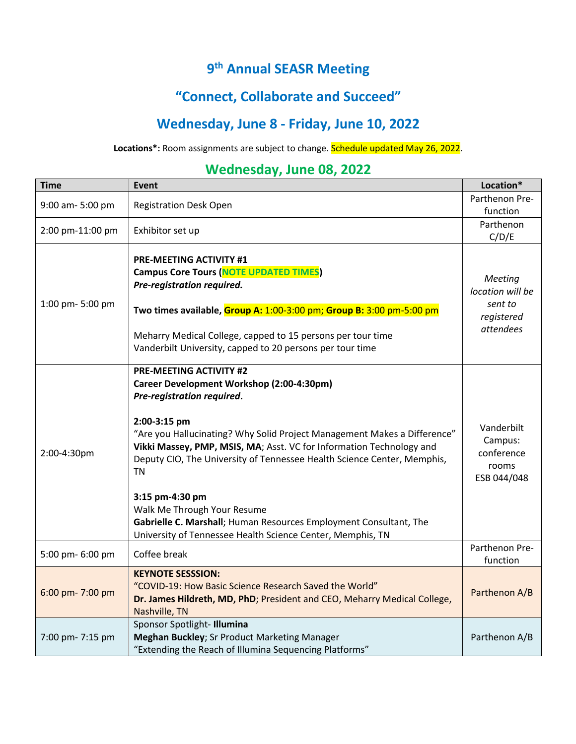## **9th Annual SEASR Meeting**

### **"Connect, Collaborate and Succeed"**

## **Wednesday, June 8 - Friday, June 10, 2022**

#### **Locations\*:** Room assignments are subject to change. Schedule updated May 26, 2022.

### **Wednesday, June 08, 2022**

| <b>Time</b>      | <b>Event</b>                                                                                                                                                                                                                                                                                                                                                                                                                                                                                                                                        | Location*                                                                |
|------------------|-----------------------------------------------------------------------------------------------------------------------------------------------------------------------------------------------------------------------------------------------------------------------------------------------------------------------------------------------------------------------------------------------------------------------------------------------------------------------------------------------------------------------------------------------------|--------------------------------------------------------------------------|
| 9:00 am- 5:00 pm | <b>Registration Desk Open</b>                                                                                                                                                                                                                                                                                                                                                                                                                                                                                                                       | Parthenon Pre-<br>function                                               |
| 2:00 pm-11:00 pm | Exhibitor set up                                                                                                                                                                                                                                                                                                                                                                                                                                                                                                                                    | Parthenon<br>C/D/E                                                       |
| 1:00 pm- 5:00 pm | <b>PRE-MEETING ACTIVITY #1</b><br><b>Campus Core Tours (NOTE UPDATED TIMES)</b><br>Pre-registration required.<br>Two times available, Group A: 1:00-3:00 pm; Group B: 3:00 pm-5:00 pm<br>Meharry Medical College, capped to 15 persons per tour time<br>Vanderbilt University, capped to 20 persons per tour time                                                                                                                                                                                                                                   | <b>Meeting</b><br>location will be<br>sent to<br>registered<br>attendees |
| 2:00-4:30pm      | <b>PRE-MEETING ACTIVITY #2</b><br>Career Development Workshop (2:00-4:30pm)<br>Pre-registration required.<br>2:00-3:15 pm<br>"Are you Hallucinating? Why Solid Project Management Makes a Difference"<br>Vikki Massey, PMP, MSIS, MA; Asst. VC for Information Technology and<br>Deputy CIO, The University of Tennessee Health Science Center, Memphis,<br>ΤN<br>3:15 pm-4:30 pm<br>Walk Me Through Your Resume<br>Gabrielle C. Marshall; Human Resources Employment Consultant, The<br>University of Tennessee Health Science Center, Memphis, TN | Vanderbilt<br>Campus:<br>conference<br>rooms<br>ESB 044/048              |
| 5:00 pm- 6:00 pm | Coffee break                                                                                                                                                                                                                                                                                                                                                                                                                                                                                                                                        | Parthenon Pre-<br>function                                               |
| 6:00 pm- 7:00 pm | <b>KEYNOTE SESSSION:</b><br>"COVID-19: How Basic Science Research Saved the World"<br>Dr. James Hildreth, MD, PhD; President and CEO, Meharry Medical College,<br>Nashville, TN                                                                                                                                                                                                                                                                                                                                                                     | Parthenon A/B                                                            |
| 7:00 pm- 7:15 pm | Sponsor Spotlight-Illumina<br>Meghan Buckley; Sr Product Marketing Manager<br>"Extending the Reach of Illumina Sequencing Platforms"                                                                                                                                                                                                                                                                                                                                                                                                                | Parthenon A/B                                                            |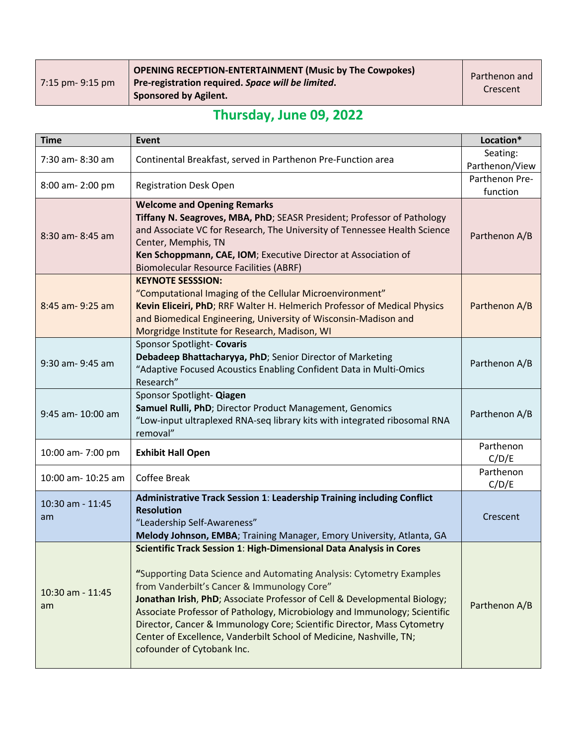| OPENING RECEPTION-ENTERTAINMENT (Music by The Cowpokes)<br>Pre-registration required. Space will be limited.<br><b>Sponsored by Agilent.</b> | Parthenon and<br>Crescent |
|----------------------------------------------------------------------------------------------------------------------------------------------|---------------------------|
|                                                                                                                                              |                           |

# **Thursday, June 09, 2022**

| <b>Time</b>            | <b>Event</b>                                                                                                                                                                                                                                                                                                                                                                                                                                                                                                                         | Location*                  |
|------------------------|--------------------------------------------------------------------------------------------------------------------------------------------------------------------------------------------------------------------------------------------------------------------------------------------------------------------------------------------------------------------------------------------------------------------------------------------------------------------------------------------------------------------------------------|----------------------------|
| 7:30 am-8:30 am        | Continental Breakfast, served in Parthenon Pre-Function area                                                                                                                                                                                                                                                                                                                                                                                                                                                                         | Seating:<br>Parthenon/View |
| 8:00 am- 2:00 pm       | <b>Registration Desk Open</b>                                                                                                                                                                                                                                                                                                                                                                                                                                                                                                        | Parthenon Pre-<br>function |
| 8:30 am-8:45 am        | <b>Welcome and Opening Remarks</b><br>Tiffany N. Seagroves, MBA, PhD; SEASR President; Professor of Pathology<br>and Associate VC for Research, The University of Tennessee Health Science<br>Center, Memphis, TN<br>Ken Schoppmann, CAE, IOM; Executive Director at Association of<br><b>Biomolecular Resource Facilities (ABRF)</b>                                                                                                                                                                                                | Parthenon A/B              |
| 8:45 am- 9:25 am       | <b>KEYNOTE SESSSION:</b><br>"Computational Imaging of the Cellular Microenvironment"<br>Kevin Eliceiri, PhD; RRF Walter H. Helmerich Professor of Medical Physics<br>and Biomedical Engineering, University of Wisconsin-Madison and<br>Morgridge Institute for Research, Madison, WI                                                                                                                                                                                                                                                | Parthenon A/B              |
| 9:30 am- 9:45 am       | Sponsor Spotlight- Covaris<br>Debadeep Bhattacharyya, PhD; Senior Director of Marketing<br>"Adaptive Focused Acoustics Enabling Confident Data in Multi-Omics<br>Research"                                                                                                                                                                                                                                                                                                                                                           | Parthenon A/B              |
| 9:45 am- 10:00 am      | Sponsor Spotlight- Qiagen<br>Samuel Rulli, PhD; Director Product Management, Genomics<br>"Low-input ultraplexed RNA-seq library kits with integrated ribosomal RNA<br>removal"                                                                                                                                                                                                                                                                                                                                                       | Parthenon A/B              |
| 10:00 am- 7:00 pm      | <b>Exhibit Hall Open</b>                                                                                                                                                                                                                                                                                                                                                                                                                                                                                                             | Parthenon<br>C/D/E         |
| 10:00 am- 10:25 am     | Coffee Break                                                                                                                                                                                                                                                                                                                                                                                                                                                                                                                         | Parthenon<br>C/D/E         |
| 10:30 am - 11:45<br>am | Administrative Track Session 1: Leadership Training including Conflict<br><b>Resolution</b><br>"Leadership Self-Awareness"<br>Melody Johnson, EMBA; Training Manager, Emory University, Atlanta, GA                                                                                                                                                                                                                                                                                                                                  | Crescent                   |
| 10:30 am - 11:45<br>am | Scientific Track Session 1: High-Dimensional Data Analysis in Cores<br>"Supporting Data Science and Automating Analysis: Cytometry Examples<br>from Vanderbilt's Cancer & Immunology Core"<br>Jonathan Irish, PhD; Associate Professor of Cell & Developmental Biology;<br>Associate Professor of Pathology, Microbiology and Immunology; Scientific<br>Director, Cancer & Immunology Core; Scientific Director, Mass Cytometry<br>Center of Excellence, Vanderbilt School of Medicine, Nashville, TN;<br>cofounder of Cytobank Inc. | Parthenon A/B              |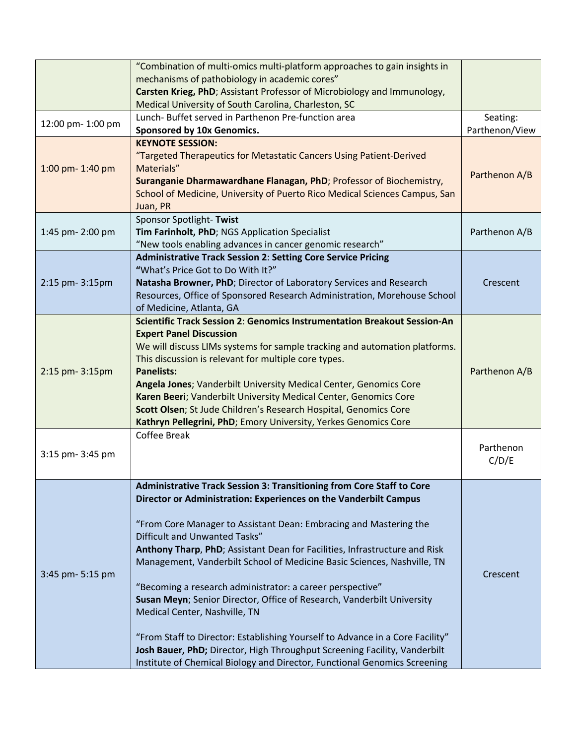|                   | "Combination of multi-omics multi-platform approaches to gain insights in                                                             |                |
|-------------------|---------------------------------------------------------------------------------------------------------------------------------------|----------------|
|                   | mechanisms of pathobiology in academic cores"                                                                                         |                |
|                   | Carsten Krieg, PhD; Assistant Professor of Microbiology and Immunology,                                                               |                |
|                   | Medical University of South Carolina, Charleston, SC                                                                                  |                |
| 12:00 pm- 1:00 pm | Lunch- Buffet served in Parthenon Pre-function area                                                                                   | Seating:       |
|                   | Sponsored by 10x Genomics.                                                                                                            | Parthenon/View |
|                   | <b>KEYNOTE SESSION:</b>                                                                                                               |                |
|                   | "Targeted Therapeutics for Metastatic Cancers Using Patient-Derived<br>Materials"                                                     |                |
| 1:00 pm- 1:40 pm  | Suranganie Dharmawardhane Flanagan, PhD; Professor of Biochemistry,                                                                   | Parthenon A/B  |
|                   | School of Medicine, University of Puerto Rico Medical Sciences Campus, San                                                            |                |
|                   | Juan, PR                                                                                                                              |                |
|                   | Sponsor Spotlight-Twist                                                                                                               |                |
| 1:45 pm- 2:00 pm  | Tim Farinholt, PhD; NGS Application Specialist                                                                                        | Parthenon A/B  |
|                   | "New tools enabling advances in cancer genomic research"                                                                              |                |
|                   | <b>Administrative Track Session 2: Setting Core Service Pricing</b>                                                                   |                |
|                   | "What's Price Got to Do With It?"                                                                                                     |                |
| 2:15 pm- 3:15pm   | Natasha Browner, PhD; Director of Laboratory Services and Research                                                                    | Crescent       |
|                   | Resources, Office of Sponsored Research Administration, Morehouse School                                                              |                |
|                   | of Medicine, Atlanta, GA                                                                                                              |                |
|                   | Scientific Track Session 2: Genomics Instrumentation Breakout Session-An                                                              |                |
|                   | <b>Expert Panel Discussion</b>                                                                                                        |                |
|                   | We will discuss LIMs systems for sample tracking and automation platforms.                                                            |                |
|                   | This discussion is relevant for multiple core types.                                                                                  |                |
| 2:15 pm- 3:15pm   | <b>Panelists:</b>                                                                                                                     | Parthenon A/B  |
|                   | Angela Jones; Vanderbilt University Medical Center, Genomics Core<br>Karen Beeri; Vanderbilt University Medical Center, Genomics Core |                |
|                   | Scott Olsen; St Jude Children's Research Hospital, Genomics Core                                                                      |                |
|                   | Kathryn Pellegrini, PhD; Emory University, Yerkes Genomics Core                                                                       |                |
|                   | <b>Coffee Break</b>                                                                                                                   |                |
|                   |                                                                                                                                       | Parthenon      |
| 3:15 pm- 3:45 pm  |                                                                                                                                       | C/D/E          |
|                   |                                                                                                                                       |                |
|                   | <b>Administrative Track Session 3: Transitioning from Core Staff to Core</b>                                                          |                |
|                   | Director or Administration: Experiences on the Vanderbilt Campus                                                                      |                |
|                   |                                                                                                                                       |                |
|                   | "From Core Manager to Assistant Dean: Embracing and Mastering the                                                                     |                |
|                   | Difficult and Unwanted Tasks"                                                                                                         |                |
|                   | Anthony Tharp, PhD; Assistant Dean for Facilities, Infrastructure and Risk                                                            |                |
| 3:45 pm- 5:15 pm  | Management, Vanderbilt School of Medicine Basic Sciences, Nashville, TN                                                               |                |
|                   | "Becoming a research administrator: a career perspective"                                                                             | Crescent       |
|                   | Susan Meyn; Senior Director, Office of Research, Vanderbilt University                                                                |                |
|                   | Medical Center, Nashville, TN                                                                                                         |                |
|                   |                                                                                                                                       |                |
|                   | "From Staff to Director: Establishing Yourself to Advance in a Core Facility"                                                         |                |
|                   | Josh Bauer, PhD; Director, High Throughput Screening Facility, Vanderbilt                                                             |                |
|                   | Institute of Chemical Biology and Director, Functional Genomics Screening                                                             |                |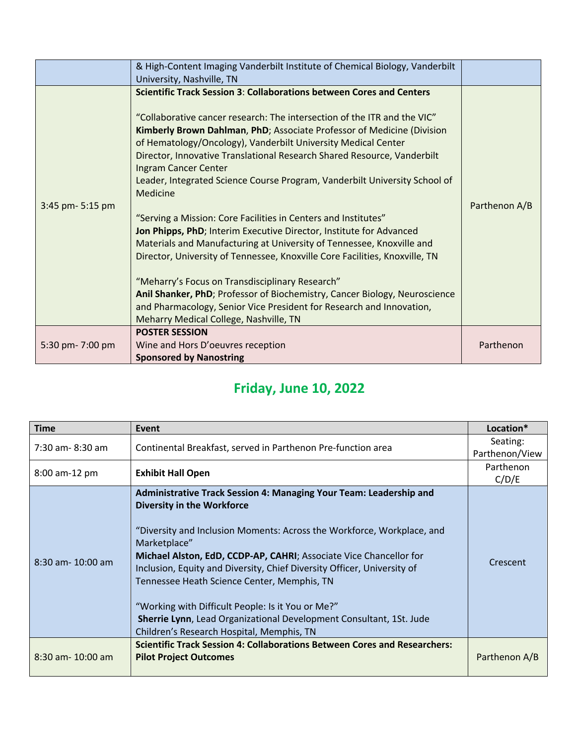|                  | & High-Content Imaging Vanderbilt Institute of Chemical Biology, Vanderbilt<br>University, Nashville, TN                                                                                                                                                                                                                                                                                                                                                                                                                                                                                                                                                                                                                                                                                                                                                                                                                                                                                                                                            |               |
|------------------|-----------------------------------------------------------------------------------------------------------------------------------------------------------------------------------------------------------------------------------------------------------------------------------------------------------------------------------------------------------------------------------------------------------------------------------------------------------------------------------------------------------------------------------------------------------------------------------------------------------------------------------------------------------------------------------------------------------------------------------------------------------------------------------------------------------------------------------------------------------------------------------------------------------------------------------------------------------------------------------------------------------------------------------------------------|---------------|
| 3:45 pm- 5:15 pm | <b>Scientific Track Session 3: Collaborations between Cores and Centers</b><br>"Collaborative cancer research: The intersection of the ITR and the VIC"<br>Kimberly Brown Dahlman, PhD; Associate Professor of Medicine (Division<br>of Hematology/Oncology), Vanderbilt University Medical Center<br>Director, Innovative Translational Research Shared Resource, Vanderbilt<br>Ingram Cancer Center<br>Leader, Integrated Science Course Program, Vanderbilt University School of<br>Medicine<br>"Serving a Mission: Core Facilities in Centers and Institutes"<br>Jon Phipps, PhD; Interim Executive Director, Institute for Advanced<br>Materials and Manufacturing at University of Tennessee, Knoxville and<br>Director, University of Tennessee, Knoxville Core Facilities, Knoxville, TN<br>"Meharry's Focus on Transdisciplinary Research"<br>Anil Shanker, PhD; Professor of Biochemistry, Cancer Biology, Neuroscience<br>and Pharmacology, Senior Vice President for Research and Innovation,<br>Meharry Medical College, Nashville, TN | Parthenon A/B |
| 5:30 pm- 7:00 pm | <b>POSTER SESSION</b><br>Wine and Hors D'oeuvres reception<br><b>Sponsored by Nanostring</b>                                                                                                                                                                                                                                                                                                                                                                                                                                                                                                                                                                                                                                                                                                                                                                                                                                                                                                                                                        | Parthenon     |

# **Friday, June 10, 2022**

| <b>Time</b>           | Event                                                                                                                                                                                                                                                                                                                                                                                                                                                                                                                                                                      | Location*                  |
|-----------------------|----------------------------------------------------------------------------------------------------------------------------------------------------------------------------------------------------------------------------------------------------------------------------------------------------------------------------------------------------------------------------------------------------------------------------------------------------------------------------------------------------------------------------------------------------------------------------|----------------------------|
| 7:30 am-8:30 am       | Continental Breakfast, served in Parthenon Pre-function area                                                                                                                                                                                                                                                                                                                                                                                                                                                                                                               | Seating:<br>Parthenon/View |
| 8:00 am-12 pm         | <b>Exhibit Hall Open</b>                                                                                                                                                                                                                                                                                                                                                                                                                                                                                                                                                   | Parthenon<br>C/D/E         |
| $8:30$ am- $10:00$ am | Administrative Track Session 4: Managing Your Team: Leadership and<br><b>Diversity in the Workforce</b><br>"Diversity and Inclusion Moments: Across the Workforce, Workplace, and<br>Marketplace"<br>Michael Alston, EdD, CCDP-AP, CAHRI; Associate Vice Chancellor for<br>Inclusion, Equity and Diversity, Chief Diversity Officer, University of<br>Tennessee Heath Science Center, Memphis, TN<br>"Working with Difficult People: Is it You or Me?"<br>Sherrie Lynn, Lead Organizational Development Consultant, 1St. Jude<br>Children's Research Hospital, Memphis, TN | Crescent                   |
| $8:30$ am- 10:00 am   | Scientific Track Session 4: Collaborations Between Cores and Researchers:<br><b>Pilot Project Outcomes</b>                                                                                                                                                                                                                                                                                                                                                                                                                                                                 | Parthenon A/B              |